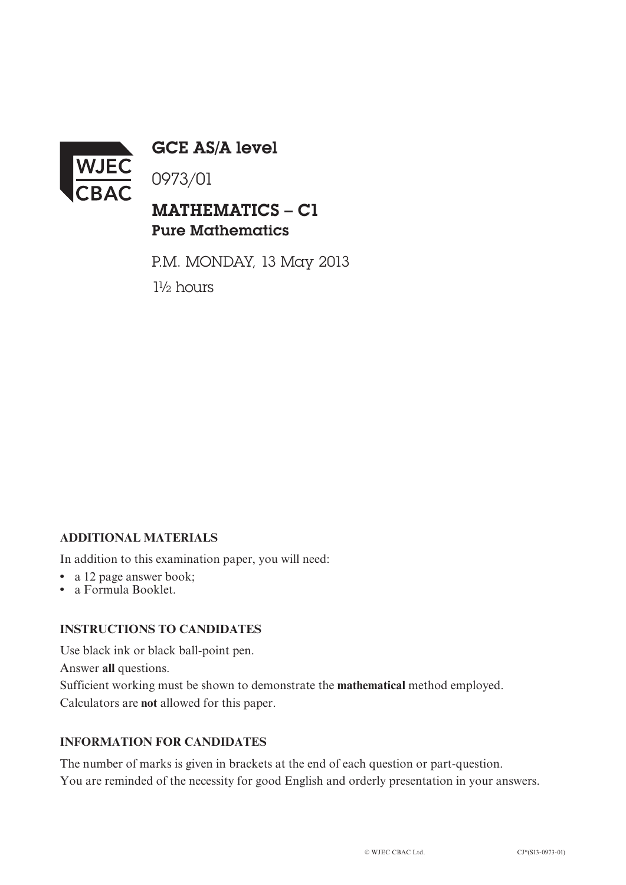

GCE AS/A level

0973/01

## MATHEMATICS – C1 Pure Mathematics

P.M. MONDAY, 13 May 2013 1½ hours

## **ADDITIONAL MATERIALS**

In addition to this examination paper, you will need:

- a 12 page answer book;
- **•** a Formula Booklet.

## **INSTRUCTIONS TO CANDIDATES**

Use black ink or black ball-point pen. Answer **all** questions. Sufficient working must be shown to demonstrate the **mathematical** method employed. Calculators are **not** allowed for this paper.

## **INFORMATION FOR CANDIDATES**

The number of marks is given in brackets at the end of each question or part-question. You are reminded of the necessity for good English and orderly presentation in your answers.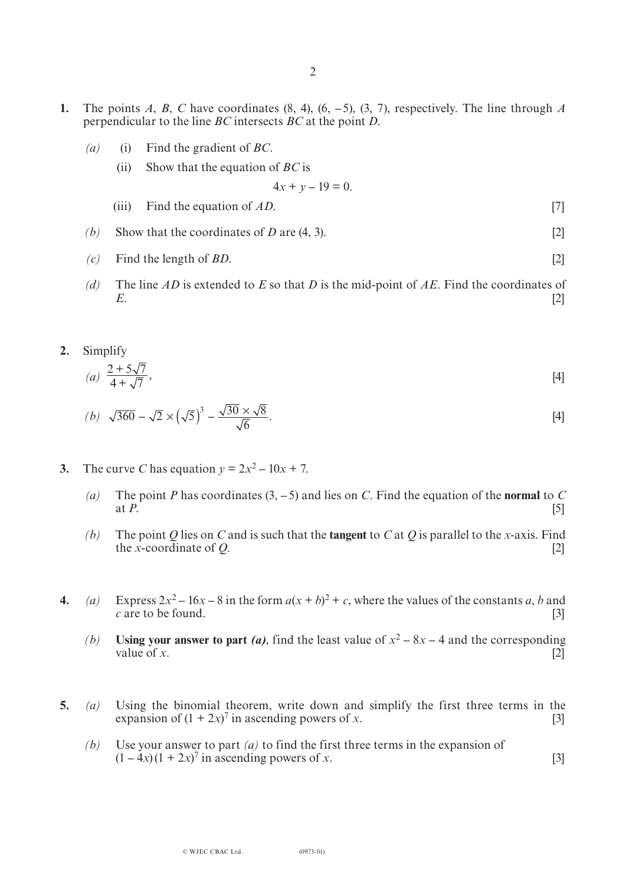- **1.** The points *A*, *B*, *C* have coordinates  $(8, 4)$ ,  $(6, -5)$ ,  $(3, 7)$ , respectively. The line through *A* perpendicular to the line *BC* intersects *BC* at the point *D*.
	- *(a)* (i) Find the gradient of *BC*.
		- (ii) Show that the equation of *BC* is

$$
4x + y - 19 = 0.
$$

- (iii) Find the equation of *AD*. [7]
- *(b)* Show that the coordinates of *D* are  $(4, 3)$ . [2]
- *(c)* Find the length of *BD*. [2]
- *(d)* The line *AD* is extended to *E* so that *D* is the mid-point of *AE*. Find the coordinates of *E*. [2]
- **2.** Simplify

(a) 
$$
\frac{2+5\sqrt{7}}{4+\sqrt{7}}
$$
, [4]

(b) 
$$
\sqrt{360} - \sqrt{2} \times (\sqrt{5})^3 - \frac{\sqrt{30} \times \sqrt{8}}{\sqrt{6}}
$$
. [4]

- **3.** The curve *C* has equation  $y = 2x^2 10x + 7$ .
	- *(a)* The point *P* has coordinates  $(3, -5)$  and lies on *C*. Find the equation of the **normal** to *C* at *P*. at *P*.  $[5]$
	- *(b)* The point *Q* lies on *C* and is such that the **tangent** to *C* at *Q* is parallel to the *x*-axis. Find the *x*-coordinate of *Q*. [2]
- **4.** *(a)* Express  $2x^2 16x 8$  in the form  $a(x + b)^2 + c$ , where the values of the constants *a*, *b* and *c* are to be found. [3]
	- *(b)* **Using your answer to part** *(a)*, find the least value of  $x^2 8x 4$  and the corresponding value of *x*. [2] value of *x*.  $[2]$
- **5.** *(a)* Using the binomial theorem, write down and simplify the first three terms in the expansion of  $(1 + 2x)^7$  in ascending powers of *x*. [3]
- *(b)* Use your answer to part *(a)* to find the first three terms in the expansion of  $(1 - 4x)(1 + 2x)^7$  in ascending powers of *x*. [3]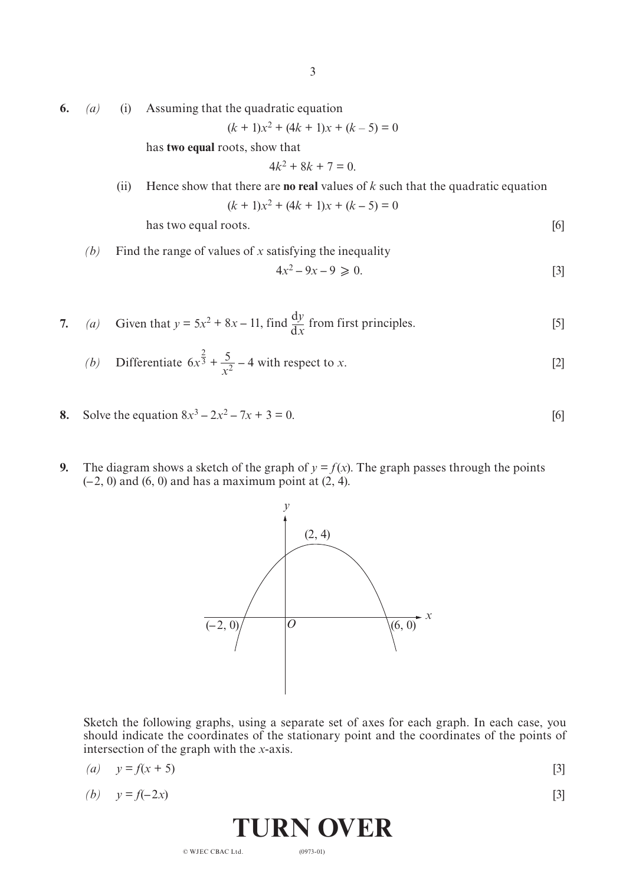**6.** *(a)* (i) Assuming that the quadratic equation

 $(k + 1)x^{2} + (4k + 1)x + (k - 5) = 0$ 

has **two equal** roots, show that

$$
4k^2 + 8k + 7 = 0.
$$

(ii) Hence show that there are **no real** values of *k* such that the quadratic equation  $(k + 1)x^{2} + (4k + 1)x + (k - 5) = 0$ 

has two equal roots. [6]

*(b)* Find the range of values of *x* satisfying the inequality

$$
4x^2 - 9x - 9 \ge 0. \tag{3}
$$

7. (a) Given that 
$$
y = 5x^2 + 8x - 11
$$
, find  $\frac{dy}{dx}$  from first principles. [5]

(b) Differentiate 
$$
6x^{\frac{2}{3}} + \frac{5}{x^2} - 4
$$
 with respect to x. [2]

- **8.** Solve the equation  $8x^3 2x^2 7x + 3 = 0$ . [6]
- **9.** The diagram shows a sketch of the graph of  $y = f(x)$ . The graph passes through the points (**–**2, 0) and (6, 0) and has a maximum point at (2, 4).



Sketch the following graphs, using a separate set of axes for each graph. In each case, you should indicate the coordinates of the stationary point and the coordinates of the points of intersection of the graph with the *x*-axis.

$$
(a) \quad y = f(x+5) \tag{3}
$$

 $p = f(-2x)$  [3]

**TURN OVER**

(0973-01)

© WJEC CBAC Ltd.